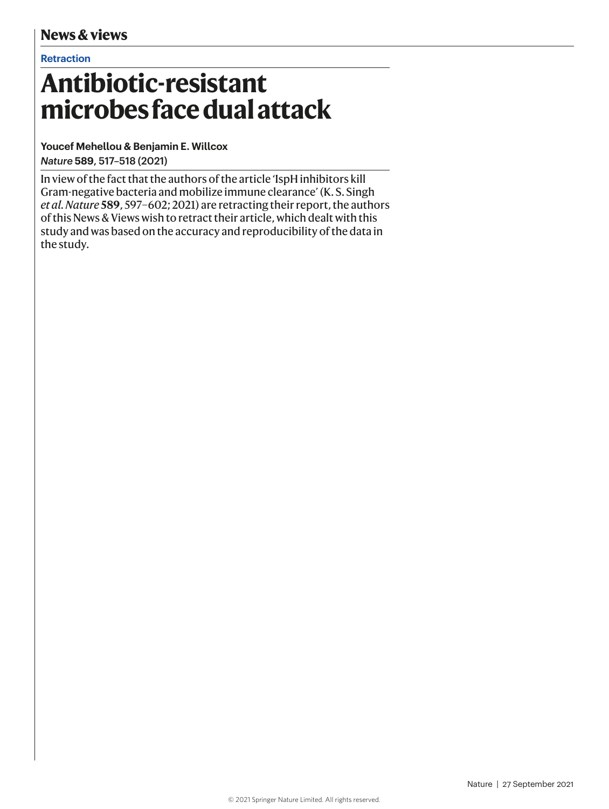#### **Retraction**

## **Antibiotic-resistant microbes face dual attack**

**Youcef Mehellou & Benjamin E. Willcox** *Nature* **589**, 517–518 (2021)

In view of the fact that the authors of the article 'IspH inhibitors kill Gram-negative bacteria and mobilize immune clearance' (K. S. Singh *et al. Nature* **589**, 597–602; 2021) are retracting their report, the authors of this News & Views wish to retract their article, which dealt with this study and was based on the accuracy and reproducibility of the data in the study.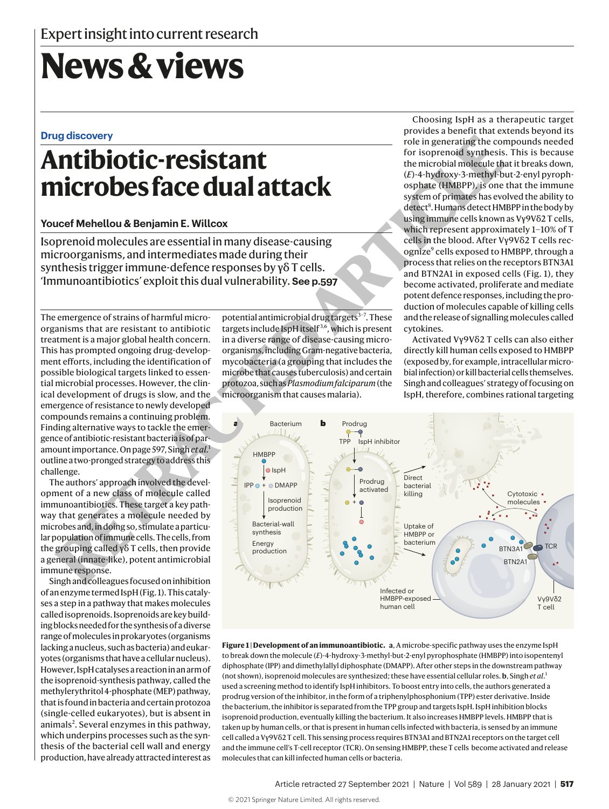# **News & views**

#### **Drug discovery**

### **Antibiotic-resistant microbes face dual attack**

#### **Youcef Mehellou & Benjamin E. Willcox**

Isoprenoid molecules are essential in many disease-causing microorganisms, and intermediates made during their synthesis trigger immune-defence responses by γδ T cells. 'Immunoantibiotics' exploit this dual vulnerability. **See p.597**

The emergence of strains of harmful microorganisms that are resistant to antibiotic treatment is a major global health concern. This has prompted ongoing drug-development efforts, including the identification of possible biological targets linked to essential microbial processes. However, the clinical development of drugs is slow, and the emergence of resistance to newly developed compounds remains a continuing problem. Finding alternative ways to tackle the emergence of antibiotic-resistant bacteria is of paramount importance. On page 597, Singh *et al.*<sup>1</sup> outline a two-pronged strategy to address this challenge.

The authors' approach involved the development of a new class of molecule called immunoantibiotics. These target a key pathway that generates a molecule needed by microbes and, in doing so, stimulate a particular population of immune cells. The cells, from the grouping called γδ T cells, then provide a general (innate-like), potent antimicrobial immune response.

Singh and colleagues focused on inhibition of an enzyme termed IspH (Fig. 1). This catalyses a step in a pathway that makes molecules called isoprenoids. Isoprenoids are key building blocks needed for the synthesis of a diverse range of molecules in prokaryotes (organisms lacking a nucleus, such as bacteria) and eukaryotes (organisms that have a cellular nucleus). However, IspH catalyses a reaction in an arm of the isoprenoid-synthesis pathway, called the methylerythritol 4-phosphate (MEP) pathway, that is found in bacteria and certain protozoa (single-celled eukaryotes), but is absent in animals<sup>2</sup>. Several enzymes in this pathway, which underpins processes such as the synthesis of the bacterial cell wall and energy production, have already attracted interest as

potential antimicrobial drug targets $3-7$ . These targets include IspH itself<sup>3,6</sup>, which is present in a diverse range of disease-causing microorganisms, including Gram-negative bacteria, mycobacteria (a grouping that includes the microbe that causes tuberculosis) and certain protozoa, such as *Plasmodium falciparum* (the microorganism that causes malaria).

Choosing IspH as a therapeutic target provides a benefit that extends beyond its role in generating the compounds needed for isoprenoid synthesis. This is because the microbial molecule that it breaks down, (*E*)-4-hydroxy-3-methyl-but-2-enyl pyrophosphate (HMBPP), is one that the immune system of primates has evolved the ability to detect<sup>8</sup>. Humans detect HMBPP in the body by using immune cells known as Vγ9Vδ2 T cells, which represent approximately 1–10% of T cells in the blood. After Vγ9Vδ2 T cells recognize<sup>9</sup> cells exposed to HMBPP, through a process that relies on the receptors BTN3A1 and BTN2A1 in exposed cells (Fig. 1), they become activated, proliferate and mediate potent defence responses, including the production of molecules capable of killing cells and the release of signalling molecules called cytokines.

Activated Vγ9Vδ2 T cells can also either directly kill human cells exposed to HMBPP (exposed by, for example, intracellular microbial infection) or kill bacterial cells themselves. Singh and colleagues' strategy of focusing on IspH, therefore, combines rational targeting



**Figure 1 | Development of an immunoantibiotic. a**, A microbe-specific pathway uses the enzyme IspH to break down the molecule (*E*)-4-hydroxy-3-methyl-but-2-enyl pyrophosphate (HMBPP) into isopentenyl diphosphate (IPP) and dimethylallyl diphosphate (DMAPP). After other steps in the downstream pathway (not shown), isoprenoid molecules are synthesized; these have essential cellular roles. **b**, Singh *et al*. 1 used a screening method to identify IspH inhibitors. To boost entry into cells, the authors generated a prodrug version of the inhibitor, in the form of a triphenylphosphonium (TPP) ester derivative. Inside the bacterium, the inhibitor is separated from the TPP group and targets IspH. IspH inhibition blocks isoprenoid production, eventually killing the bacterium. It also increases HMBPP levels. HMBPP that is taken up by human cells, or that is present in human cells infected with bacteria, is sensed by an immune cell called a Vγ9Vδ2 T cell. This sensing process requires BTN3A1 and BTN2A1 receptors on the target cell and the immune cell's T-cell receptor (TCR). On sensing HMBPP, these T cells become activated and release molecules that can kill infected human cells or bacteria.